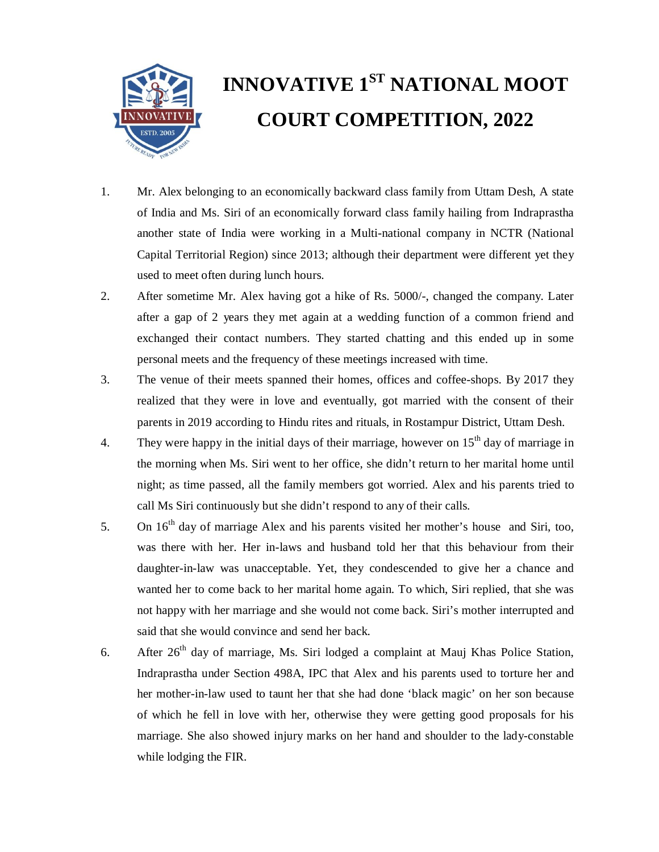

## **INNOVATIVE 1ST NATIONAL MOOT COURT COMPETITION, 2022**

- 1. Mr. Alex belonging to an economically backward class family from Uttam Desh, A state of India and Ms. Siri of an economically forward class family hailing from Indraprastha another state of India were working in a Multi-national company in NCTR (National Capital Territorial Region) since 2013; although their department were different yet they used to meet often during lunch hours.
- 2. After sometime Mr. Alex having got a hike of Rs. 5000/-, changed the company. Later after a gap of 2 years they met again at a wedding function of a common friend and exchanged their contact numbers. They started chatting and this ended up in some personal meets and the frequency of these meetings increased with time.
- 3. The venue of their meets spanned their homes, offices and coffee-shops. By 2017 they realized that they were in love and eventually, got married with the consent of their parents in 2019 according to Hindu rites and rituals, in Rostampur District, Uttam Desh.
- 4. They were happy in the initial days of their marriage, however on  $15<sup>th</sup>$  day of marriage in the morning when Ms. Siri went to her office, she didn't return to her marital home until night; as time passed, all the family members got worried. Alex and his parents tried to call Ms Siri continuously but she didn't respond to any of their calls.
- 5. On  $16<sup>th</sup>$  day of marriage Alex and his parents visited her mother's house and Siri, too, was there with her. Her in-laws and husband told her that this behaviour from their daughter-in-law was unacceptable. Yet, they condescended to give her a chance and wanted her to come back to her marital home again. To which, Siri replied, that she was not happy with her marriage and she would not come back. Siri's mother interrupted and said that she would convince and send her back.
- 6. After  $26<sup>th</sup>$  day of marriage, Ms. Siri lodged a complaint at Mauj Khas Police Station, Indraprastha under Section 498A, IPC that Alex and his parents used to torture her and her mother-in-law used to taunt her that she had done 'black magic' on her son because of which he fell in love with her, otherwise they were getting good proposals for his marriage. She also showed injury marks on her hand and shoulder to the lady-constable while lodging the FIR.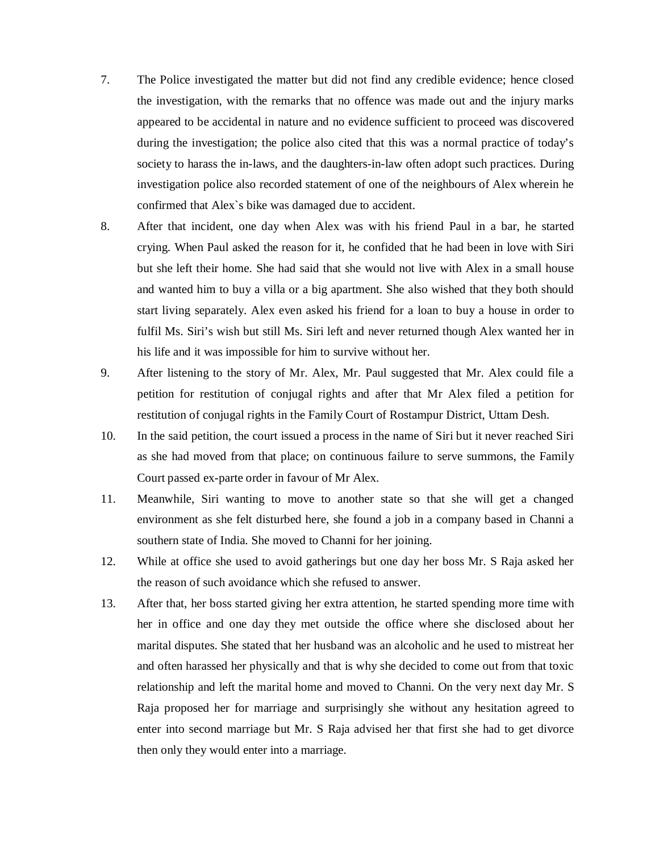- 7. The Police investigated the matter but did not find any credible evidence; hence closed the investigation, with the remarks that no offence was made out and the injury marks appeared to be accidental in nature and no evidence sufficient to proceed was discovered during the investigation; the police also cited that this was a normal practice of today's society to harass the in-laws, and the daughters-in-law often adopt such practices. During investigation police also recorded statement of one of the neighbours of Alex wherein he confirmed that Alex`s bike was damaged due to accident.
- 8. After that incident, one day when Alex was with his friend Paul in a bar, he started crying. When Paul asked the reason for it, he confided that he had been in love with Siri but she left their home. She had said that she would not live with Alex in a small house and wanted him to buy a villa or a big apartment. She also wished that they both should start living separately. Alex even asked his friend for a loan to buy a house in order to fulfil Ms. Siri's wish but still Ms. Siri left and never returned though Alex wanted her in his life and it was impossible for him to survive without her.
- 9. After listening to the story of Mr. Alex, Mr. Paul suggested that Mr. Alex could file a petition for restitution of conjugal rights and after that Mr Alex filed a petition for restitution of conjugal rights in the Family Court of Rostampur District, Uttam Desh.
- 10. In the said petition, the court issued a process in the name of Siri but it never reached Siri as she had moved from that place; on continuous failure to serve summons, the Family Court passed ex-parte order in favour of Mr Alex.
- 11. Meanwhile, Siri wanting to move to another state so that she will get a changed environment as she felt disturbed here, she found a job in a company based in Channi a southern state of India. She moved to Channi for her joining.
- 12. While at office she used to avoid gatherings but one day her boss Mr. S Raja asked her the reason of such avoidance which she refused to answer.
- 13. After that, her boss started giving her extra attention, he started spending more time with her in office and one day they met outside the office where she disclosed about her marital disputes. She stated that her husband was an alcoholic and he used to mistreat her and often harassed her physically and that is why she decided to come out from that toxic relationship and left the marital home and moved to Channi. On the very next day Mr. S Raja proposed her for marriage and surprisingly she without any hesitation agreed to enter into second marriage but Mr. S Raja advised her that first she had to get divorce then only they would enter into a marriage.